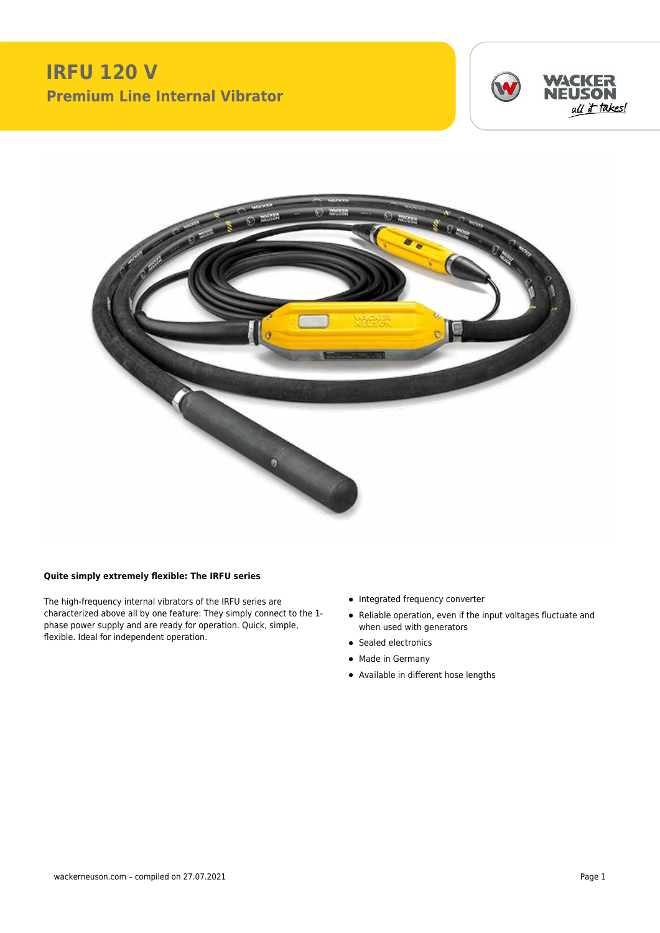## **IRFU 120 V Premium Line Internal Vibrator**





## **Quite simply extremely flexible: The IRFU series**

The high-frequency internal vibrators of the IRFU series are characterized above all by one feature: They simply connect to the 1 phase power supply and are ready for operation. Quick, simple, flexible. Ideal for independent operation.

- Integrated frequency converter
- Reliable operation, even if the input voltages fluctuate and when used with generators
- Sealed electronics
- Made in Germany
- Available in different hose lengths